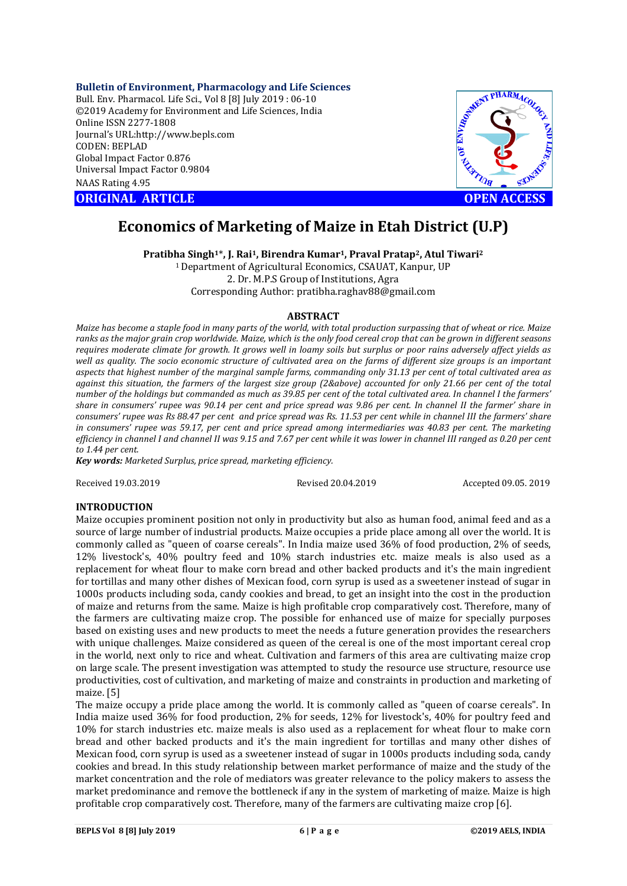**Bulletin of Environment, Pharmacology and Life Sciences**

Bull. Env. Pharmacol. Life Sci., Vol 8 [8] July 2019 : 06-10 ©2019 Academy for Environment and Life Sciences, India Online ISSN 2277-1808 Journal's URL:http://www.bepls.com CODEN: BEPLAD Global Impact Factor 0.876 Universal Impact Factor 0.9804 NAAS Rating 4.95

**ORIGINAL ARTICLE OPEN ACCESS** 



# **Economics of Marketing of Maize in Etah District (U.P)**

**Pratibha Singh1**\***, J. Rai1, Birendra Kumar1, Praval Pratap2, Atul Tiwari2**

1 Department of Agricultural Economics, CSAUAT, Kanpur, UP 2. Dr. M.P.S Group of Institutions, Agra Corresponding Author: pratibha.raghav88@gmail.com

# **ABSTRACT**

*Maize has become a staple food in many parts of the world, with total production surpassing that of wheat or rice. Maize ranks as the major grain crop worldwide. Maize, which is the only food cereal crop that can be grown in different seasons requires moderate climate for growth. It grows well in loamy soils but surplus or poor rains adversely affect yields as well as quality. The socio economic structure of cultivated area on the farms of different size groups is an important aspects that highest number of the marginal sample farms, commanding only 31.13 per cent of total cultivated area as against this situation, the farmers of the largest size group (2&above) accounted for only 21.66 per cent of the total number of the holdings but commanded as much as 39.85 per cent of the total cultivated area. In channel I the farmers' share in consumers' rupee was 90.14 per cent and price spread was 9.86 per cent. In channel II the farmer' share in consumers' rupee was Rs 88.47 per cent and price spread was Rs. 11.53 per cent while in channel III the farmers' share in consumers' rupee was 59.17, per cent and price spread among intermediaries was 40.83 per cent. The marketing efficiency in channel I and channel II was 9.15 and 7.67 per cent while it was lower in channel III ranged as 0.20 per cent to 1.44 per cent.* 

*Key words: Marketed Surplus, price spread, marketing efficiency.*

Received 19.03.2019 Revised 20.04.2019 Accepted 09.05. 2019

# **INTRODUCTION**

Maize occupies prominent position not only in productivity but also as human food, animal feed and as a source of large number of industrial products. Maize occupies a pride place among all over the world. It is commonly called as "queen of coarse cereals". In India maize used 36% of food production, 2% of seeds, 12% livestock's, 40% poultry feed and 10% starch industries etc. maize meals is also used as a replacement for wheat flour to make corn bread and other backed products and it's the main ingredient for tortillas and many other dishes of Mexican food, corn syrup is used as a sweetener instead of sugar in 1000s products including soda, candy cookies and bread, to get an insight into the cost in the production of maize and returns from the same. Maize is high profitable crop comparatively cost. Therefore, many of the farmers are cultivating maize crop. The possible for enhanced use of maize for specially purposes based on existing uses and new products to meet the needs a future generation provides the researchers with unique challenges. Maize considered as queen of the cereal is one of the most important cereal crop in the world, next only to rice and wheat. Cultivation and farmers of this area are cultivating maize crop on large scale. The present investigation was attempted to study the resource use structure, resource use productivities, cost of cultivation, and marketing of maize and constraints in production and marketing of maize. [5]

The maize occupy a pride place among the world. It is commonly called as "queen of coarse cereals". In India maize used 36% for food production, 2% for seeds, 12% for livestock's, 40% for poultry feed and 10% for starch industries etc. maize meals is also used as a replacement for wheat flour to make corn bread and other backed products and it's the main ingredient for tortillas and many other dishes of Mexican food, corn syrup is used as a sweetener instead of sugar in 1000s products including soda, candy cookies and bread. In this study relationship between market performance of maize and the study of the market concentration and the role of mediators was greater relevance to the policy makers to assess the market predominance and remove the bottleneck if any in the system of marketing of maize. Maize is high profitable crop comparatively cost. Therefore, many of the farmers are cultivating maize crop [6].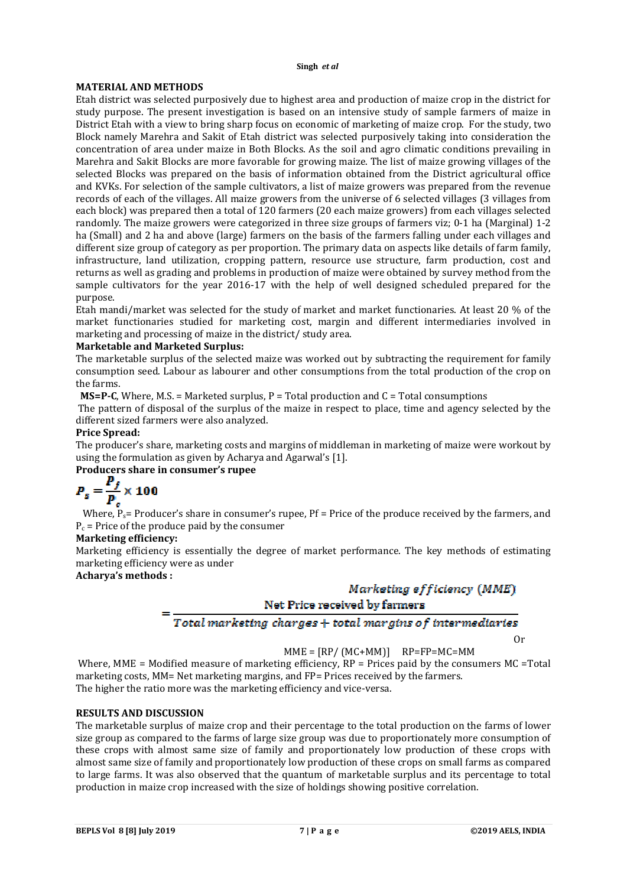# **MATERIAL AND METHODS**

Etah district was selected purposively due to highest area and production of maize crop in the district for study purpose. The present investigation is based on an intensive study of sample farmers of maize in District Etah with a view to bring sharp focus on economic of marketing of maize crop. For the study, two Block namely Marehra and Sakit of Etah district was selected purposively taking into consideration the concentration of area under maize in Both Blocks. As the soil and agro climatic conditions prevailing in Marehra and Sakit Blocks are more favorable for growing maize. The list of maize growing villages of the selected Blocks was prepared on the basis of information obtained from the District agricultural office and KVKs. For selection of the sample cultivators, a list of maize growers was prepared from the revenue records of each of the villages. All maize growers from the universe of 6 selected villages (3 villages from each block) was prepared then a total of 120 farmers (20 each maize growers) from each villages selected randomly. The maize growers were categorized in three size groups of farmers viz; 0-1 ha (Marginal) 1-2 ha (Small) and 2 ha and above (large) farmers on the basis of the farmers falling under each villages and different size group of category as per proportion. The primary data on aspects like details of farm family, infrastructure, land utilization, cropping pattern, resource use structure, farm production, cost and returns as well as grading and problems in production of maize were obtained by survey method from the sample cultivators for the year 2016-17 with the help of well designed scheduled prepared for the purpose.

Etah mandi/market was selected for the study of market and market functionaries. At least 20 % of the market functionaries studied for marketing cost, margin and different intermediaries involved in marketing and processing of maize in the district/ study area.

# **Marketable and Marketed Surplus:**

The marketable surplus of the selected maize was worked out by subtracting the requirement for family consumption seed. Labour as labourer and other consumptions from the total production of the crop on the farms.

**MS=P-C**, Where, M.S. = Marketed surplus,  $P = Total$  production and  $C = Total$  consumptions

The pattern of disposal of the surplus of the maize in respect to place, time and agency selected by the different sized farmers were also analyzed.

# **Price Spread:**

The producer's share, marketing costs and margins of middleman in marketing of maize were workout by using the formulation as given by Acharya and Agarwal's [1].

# **Producers share in consumer's rupee**

$$
P_s = \frac{P_f}{P_c} \times 100
$$

Where,  $P_{\rm s}=$  Producer's share in consumer's rupee, Pf = Price of the produce received by the farmers, and  $P_c$  = Price of the produce paid by the consumer

## **Marketing efficiency:**

Marketing efficiency is essentially the degree of market performance. The key methods of estimating marketing efficiency were as under

# **Acharya's methods :**

# Marketing efficiency (MME)

# Net Price received by farmers

# Total marketing charges + total margins of intermediaries

Or

# $MME = IRP/(MC+MM)$   $RP = FP = MC = MM$

Where, MME = Modified measure of marketing efficiency,  $RP = \text{Prices}$  paid by the consumers MC = Total marketing costs, MM= Net marketing margins, and FP= Prices received by the farmers. The higher the ratio more was the marketing efficiency and vice-versa.

## **RESULTS AND DISCUSSION**

The marketable surplus of maize crop and their percentage to the total production on the farms of lower size group as compared to the farms of large size group was due to proportionately more consumption of these crops with almost same size of family and proportionately low production of these crops with almost same size of family and proportionately low production of these crops on small farms as compared to large farms. It was also observed that the quantum of marketable surplus and its percentage to total production in maize crop increased with the size of holdings showing positive correlation.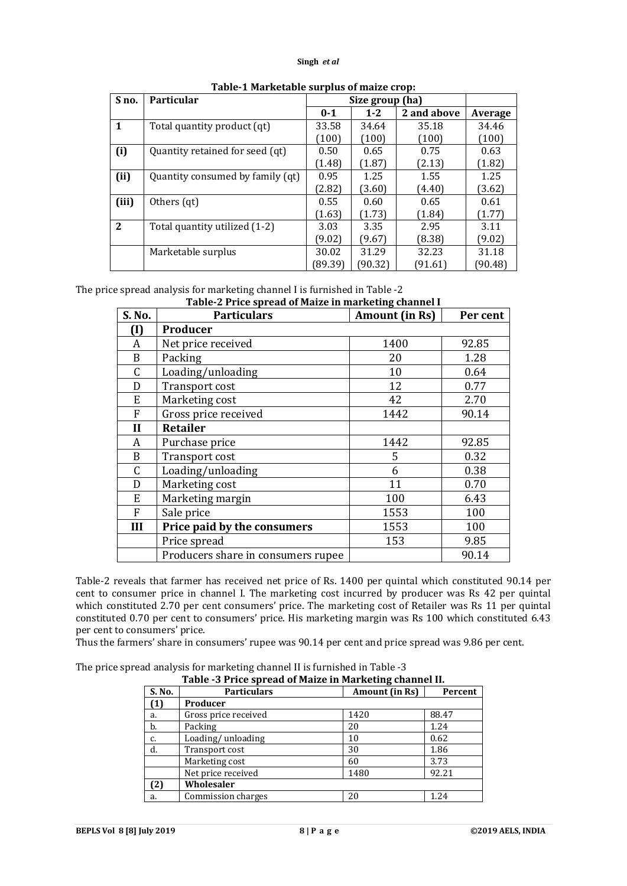| S no.        | <b>Particular</b>                | Size group (ha) |         |             |         |
|--------------|----------------------------------|-----------------|---------|-------------|---------|
|              |                                  | $0 - 1$         | $1 - 2$ | 2 and above | Average |
| $\mathbf{1}$ | Total quantity product (qt)      | 33.58           | 34.64   | 35.18       | 34.46   |
|              |                                  | (100)           | (100)   | (100)       | (100)   |
| (i)          | Quantity retained for seed (qt)  | 0.50            | 0.65    | 0.75        | 0.63    |
|              |                                  | (1.48)          | (1.87)  | (2.13)      | (1.82)  |
| (ii)         | Quantity consumed by family (qt) |                 | 1.25    | 1.55        | 1.25    |
|              |                                  | (2.82)          | (3.60)  | (4.40)      | (3.62)  |
| (iii)        | Others (qt)                      | 0.55            | 0.60    | 0.65        | 0.61    |
|              |                                  | (1.63)          | (1.73)  | (1.84)      | (1.77)  |
| $\mathbf{2}$ | Total quantity utilized (1-2)    | 3.03            | 3.35    | 2.95        | 3.11    |
|              |                                  | (9.02)          | (9.67)  | (8.38)      | (9.02)  |
|              | Marketable surplus               | 30.02           | 31.29   | 32.23       | 31.18   |
|              |                                  | (89.39)         | ั90.32) | (91.61)     | ั90.48) |

# **Table-1 Marketable surplus of maize crop:**

The price spread analysis for marketing channel I is furnished in Table -2

**Table-2 Price spread of Maize in marketing channel I**

| S. No.            | <b>Particulars</b>                 | o<br><b>Amount</b> (in Rs) | Per cent |
|-------------------|------------------------------------|----------------------------|----------|
| $\left( I\right)$ | Producer                           |                            |          |
| A                 | Net price received                 | 1400                       | 92.85    |
| B                 | Packing                            | 20                         | 1.28     |
| C                 | Loading/unloading                  | 10                         | 0.64     |
| D                 | Transport cost                     | 12                         | 0.77     |
| E                 | Marketing cost                     | 42                         | 2.70     |
| F                 | Gross price received               | 1442                       | 90.14    |
| $\mathbf{I}$      | <b>Retailer</b>                    |                            |          |
| A                 | Purchase price                     | 1442                       | 92.85    |
| B                 | <b>Transport cost</b>              | 5                          | 0.32     |
| C                 | Loading/unloading                  | 6                          | 0.38     |
| D                 | Marketing cost                     | 11                         | 0.70     |
| E                 | Marketing margin                   | 100                        | 6.43     |
| F                 | Sale price                         | 1553                       | 100      |
| III               | Price paid by the consumers        | 1553                       | 100      |
|                   | Price spread                       | 153                        | 9.85     |
|                   | Producers share in consumers rupee |                            | 90.14    |

Table-2 reveals that farmer has received net price of Rs. 1400 per quintal which constituted 90.14 per cent to consumer price in channel I. The marketing cost incurred by producer was Rs 42 per quintal which constituted 2.70 per cent consumers' price. The marketing cost of Retailer was Rs 11 per quintal constituted 0.70 per cent to consumers' price. His marketing margin was Rs 100 which constituted 6.43 per cent to consumers' price.

Thus the farmers' share in consumers' rupee was 90.14 per cent and price spread was 9.86 per cent.

The price spread analysis for marketing channel II is furnished in Table -3

| Table -3 Price spread of Maize in Marketing channel II. |                      |                |         |  |  |
|---------------------------------------------------------|----------------------|----------------|---------|--|--|
| S. No.                                                  | <b>Particulars</b>   | Amount (in Rs) | Percent |  |  |
| (1)                                                     | Producer             |                |         |  |  |
| a.                                                      | Gross price received | 1420           | 88.47   |  |  |
| b.                                                      | Packing              | 20             | 1.24    |  |  |
| c.                                                      | Loading/unloading    | 10             | 0.62    |  |  |
| d.                                                      | Transport cost       | 30             | 1.86    |  |  |
|                                                         | Marketing cost       | 60             | 3.73    |  |  |
|                                                         | Net price received   | 1480           | 92.21   |  |  |
| (2)                                                     | Wholesaler           |                |         |  |  |
| a.                                                      | Commission charges   | 20             | 1.24    |  |  |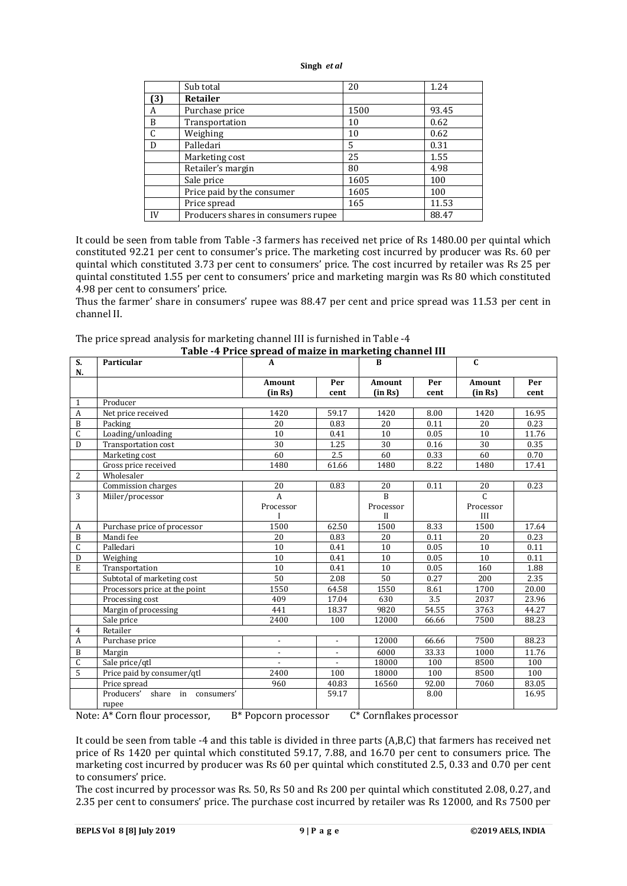|     | Sub total                           | 20   | 1.24  |
|-----|-------------------------------------|------|-------|
| (3) | Retailer                            |      |       |
| A   | Purchase price                      | 1500 | 93.45 |
| B   | Transportation                      | 10   | 0.62  |
| C   | Weighing                            | 10   | 0.62  |
| D   | Palledari                           | 5    | 0.31  |
|     | Marketing cost                      | 25   | 1.55  |
|     | Retailer's margin                   | 80   | 4.98  |
|     | Sale price                          | 1605 | 100   |
|     | Price paid by the consumer          | 1605 | 100   |
|     | Price spread                        | 165  | 11.53 |
| IV  | Producers shares in consumers rupee |      | 88.47 |

It could be seen from table from Table -3 farmers has received net price of Rs 1480.00 per quintal which constituted 92.21 per cent to consumer's price. The marketing cost incurred by producer was Rs. 60 per quintal which constituted 3.73 per cent to consumers' price. The cost incurred by retailer was Rs 25 per quintal constituted 1.55 per cent to consumers' price and marketing margin was Rs 80 which constituted 4.98 per cent to consumers' price.

Thus the farmer' share in consumers' rupee was 88.47 per cent and price spread was 11.53 per cent in channel II.

| The price spread analysis for marketing channel III is furnished in Table -4 |
|------------------------------------------------------------------------------|
| Table 4 Drice envead of moire in mortating channel III                       |

| S.               | Particular                        | Table -+ I Title spi eau of malze in marketing channel in<br>$\mathbf{A}$ |                | <b>B</b>       |       | $\mathbf{C}$   |       |
|------------------|-----------------------------------|---------------------------------------------------------------------------|----------------|----------------|-------|----------------|-------|
| N.               |                                   |                                                                           |                |                |       |                |       |
|                  |                                   | Amount                                                                    | Per            | Amount         | Per   | Amount         | Per   |
|                  |                                   | (in Rs)                                                                   | cent           | (in Rs)        | cent  | (in Rs)        | cent  |
| 1                | Producer                          |                                                                           |                |                |       |                |       |
| $\overline{A}$   | Net price received                | 1420                                                                      | 59.17          | 1420           | 8.00  | 1420           | 16.95 |
| $\mathbf B$      | Packing                           | 20                                                                        | 0.83           | 20             | 0.11  | 20             | 0.23  |
| $\mathsf C$      | Loading/unloading                 | 10                                                                        | 0.41           | 10             | 0.05  | 10             | 11.76 |
| D                | Transportation cost               | 30                                                                        | 1.25           | 30             | 0.16  | 30             | 0.35  |
|                  | Marketing cost                    | 60                                                                        | 2.5            | 60             | 0.33  | 60             | 0.70  |
|                  | Gross price received              | 1480                                                                      | 61.66          | 1480           | 8.22  | 1480           | 17.41 |
| 2                | Wholesaler                        |                                                                           |                |                |       |                |       |
|                  | Commission charges                | 20                                                                        | 0.83           | 20             | 0.11  | 20             | 0.23  |
| 3                | Miiler/processor                  | $\overline{A}$                                                            |                | $\overline{B}$ |       | $\overline{C}$ |       |
|                  |                                   | Processor                                                                 |                | Processor      |       | Processor      |       |
|                  |                                   |                                                                           |                | $_{\rm II}$    |       | III            |       |
| A                | Purchase price of processor       | 1500                                                                      | 62.50          | 1500           | 8.33  | 1500           | 17.64 |
| B                | Mandi fee                         | 20                                                                        | 0.83           | 20             | 0.11  | 20             | 0.23  |
| $\mathsf{C}$     | Palledari                         | 10                                                                        | 0.41           | 10             | 0.05  | 10             | 0.11  |
| D                | Weighing                          | 10                                                                        | 0.41           | 10             | 0.05  | 10             | 0.11  |
| E                | Transportation                    | 10                                                                        | 0.41           | 10             | 0.05  | 160            | 1.88  |
|                  | Subtotal of marketing cost        | 50                                                                        | 2.08           | 50             | 0.27  | 200            | 2.35  |
|                  | Processors price at the point     | 1550                                                                      | 64.58          | 1550           | 8.61  | 1700           | 20.00 |
|                  | Processing cost                   | 409                                                                       | 17.04          | 630            | 3.5   | 2037           | 23.96 |
|                  | Margin of processing              | 441                                                                       | 18.37          | 9820           | 54.55 | 3763           | 44.27 |
|                  | Sale price                        | 2400                                                                      | 100            | 12000          | 66.66 | 7500           | 88.23 |
| $\overline{4}$   | Retailer                          |                                                                           |                |                |       |                |       |
| $\boldsymbol{A}$ | Purchase price                    | $\overline{\phantom{a}}$                                                  | $\blacksquare$ | 12000          | 66.66 | 7500           | 88.23 |
| B                | Margin                            | $\blacksquare$                                                            | $\blacksquare$ | 6000           | 33.33 | 1000           | 11.76 |
| $\mathsf{C}$     | Sale price/qtl                    | $\overline{a}$                                                            | $\overline{a}$ | 18000          | 100   | 8500           | 100   |
| 5                | Price paid by consumer/qtl        | 2400                                                                      | 100            | 18000          | 100   | 8500           | 100   |
|                  | Price spread                      | 960                                                                       | 40.83          | 16560          | 92.00 | 7060           | 83.05 |
|                  | Producers'<br>share in consumers' |                                                                           | 59.17          |                | 8.00  |                | 16.95 |
|                  | rupee                             |                                                                           |                |                |       |                |       |

Note: A\* Corn flour processor, B\* Popcorn processor C\* Cornflakes processor

It could be seen from table -4 and this table is divided in three parts (A,B,C) that farmers has received net price of Rs 1420 per quintal which constituted 59.17, 7.88, and 16.70 per cent to consumers price. The marketing cost incurred by producer was Rs 60 per quintal which constituted 2.5, 0.33 and 0.70 per cent to consumers' price.

The cost incurred by processor was Rs. 50, Rs 50 and Rs 200 per quintal which constituted 2.08, 0.27, and 2.35 per cent to consumers' price. The purchase cost incurred by retailer was Rs 12000, and Rs 7500 per